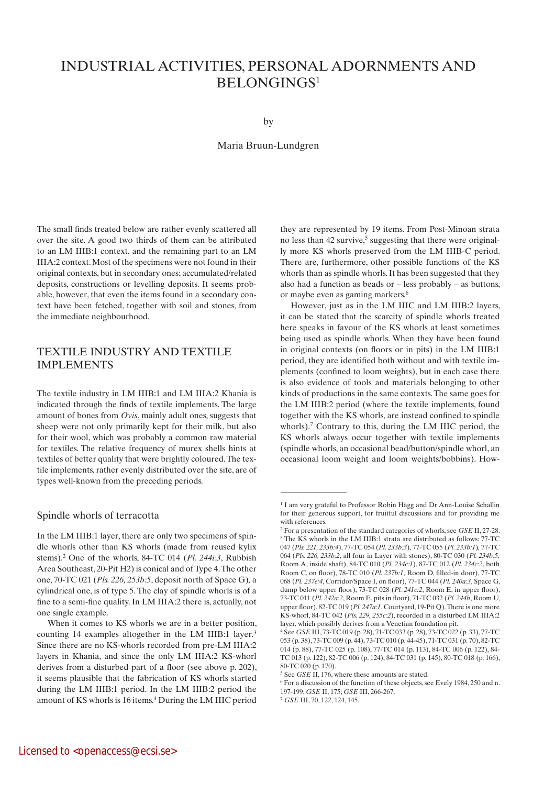# INDUSTRIAL ACTIVITIES, PERSONAL ADORNMENTS AND BELONGINGS1

by

#### Maria Bruun-Lundgren

The small finds treated below are rather evenly scattered all over the site. A good two thirds of them can be attributed to an LM IIIB:1 context, and the remaining part to an LM IIIA:2 context. Most of the specimens were not found in their original contexts, but in secondary ones; accumulated/related deposits, constructions or levelling deposits. It seems probable, however, that even the items found in a secondary context have been fetched, together with soil and stones, from the immediate neighbourhood.

# Textile industry and textile **IMPLEMENTS**

The textile industry in LM IIIB:1 and LM IIIA:2 Khania is indicated through the finds of textile implements. The large amount of bones from *Ovis*, mainly adult ones, suggests that sheep were not only primarily kept for their milk, but also for their wool, which was probably a common raw material for textiles. The relative frequency of murex shells hints at textiles of better quality that were brightly coloured. The textile implements, rather evenly distributed over the site, are of types well-known from the preceding periods.

#### Spindle whorls of terracotta

In the LM IIIB:1 layer, there are only two specimens of spindle whorls other than KS whorls (made from reused kylix stems).2 One of the whorls, 84-TC 014 (*Pl. 244i:3*, Rubbish Area Southeast, 20-Pit H2) is conical and of Type 4. The other one, 70-TC 021 (*Pls. 226, 253b:5*, deposit north of Space G)*,* a cylindrical one, is of type 5. The clay of spindle whorls is of a fine to a semi-fine quality. In LM IIIA:2 there is, actually, not one single example.

they are represented by 19 items. From Post-Minoan strata no less than  $42$  survive,<sup>5</sup> suggesting that there were originally more KS whorls preserved from the LM IIIB-C period. There are, furthermore, other possible functions of the KS whorls than as spindle whorls. It has been suggested that they also had a function as beads or – less probably – as buttons, or maybe even as gaming markers.6

However, just as in the LM IIIC and LM IIIB:2 layers, it can be stated that the scarcity of spindle whorls treated here speaks in favour of the KS whorls at least sometimes being used as spindle whorls. When they have been found in original contexts (on floors or in pits) in the LM IIIB:1 period, they are identified both without and with textile implements (confined to loom weights), but in each case there is also evidence of tools and materials belonging to other kinds of productions in the same contexts. The same goes for the LM IIIB:2 period (where the textile implements, found together with the KS whorls, are instead confined to spindle whorls).<sup>7</sup> Contrary to this, during the LM IIIC period, the KS whorls always occur together with textile implements (spindle whorls, an occasional bead/button/spindle whorl, an occasional loom weight and loom weights/bobbins). How-

When it comes to KS whorls we are in a better position, counting 14 examples altogether in the LM IIIB:1 layer.<sup>3</sup> Since there are no KS-whorls recorded from pre-LM IIIA:2 layers in Khania, and since the only LM IIIA:2 KS-whorl derives from a disturbed part of a floor (see above p. 202), it seems plausible that the fabrication of KS whorls started during the LM IIIB:1 period. In the LM IIIB:2 period the amount of KS whorls is 16 items.4 During the LM IIIC period

<sup>&</sup>lt;sup>1</sup> I am very grateful to Professor Robin Hägg and Dr Ann-Louise Schallin for their generous support, for fruitful discussions and for providing me with references.

<sup>2</sup> For a presentation of the standard categories of whorls, see *GSE* II, 27-28. <sup>3</sup> The KS whorls in the LM IIIB:1 strata are distributed as follows: 77-TC 047 (*Pls. 221, 233b:4*), 77-TC 054 (*Pl. 233b:3*), 77-TC 055 (*Pl. 233b:1*)*,* 77-TC 064 (*Pls. 226, 233b:2*, all four in Layer with stones), 80-TC 030 (*Pl. 234b:5,* Room A, inside shaft), 84-TC 010 (*Pl. 234c:1*), 87-TC 012 (*Pl. 234c:2*, both Room C, on floor), 78-TC 010 (*Pl. 237b:1*, Room D, filled-in door), 77-TC 068 (*Pl. 237e:4*, Corridor/Space I, on floor), 77-TC 044 (*Pl. 240a:3*, Space G, dump below upper floor), 73-TC 028 (*Pl. 241c:2*, Room E, in upper floor), 73-TC 011 (*Pl. 242a:2*, Room E, pits in floor), 71-TC 032 (*Pl. 244b*, Room U, upper floor), 82-TC 019 (*Pl. 247a:1*, Courtyard, 19-Pit Q). There is one more KS-whorl, 84-TC 042 (*Pls. 229, 255c:2*), recorded in a disturbed LM IIIA:2 layer, which possibly derives from a Venetian foundation pit.

<sup>4</sup> See *GSE* III, 73-TC 019 (p. 28), 71-TC 033 (p. 28), 73-TC 022 (p. 33), 77-TC 053 (p. 38), 73-TC 009 (p. 44), 73-TC 010 (p. 44-45), 71-TC 031 (p. 70), 82-TC 014 (p. 88), 77-TC 025 (p. 108), 77-TC 014 (p. 113), 84-TC 006 (p. 122), 84- TC 013 (p. 122), 82-TC 006 (p. 124), 84-TC 031 (p. 145), 80-TC 018 (p. 166), 80-TC 020 (p. 170).

<sup>5</sup> See *GSE* II, 176, where these amounts are stated.

<sup>6</sup> For a discussion of the function of these objects, see Evely 1984, 250 and n. 197-199; *GSE* II, 175; *GSE* III, 266-267.

<sup>7</sup> *GSE* III, 70, 122, 124, 145.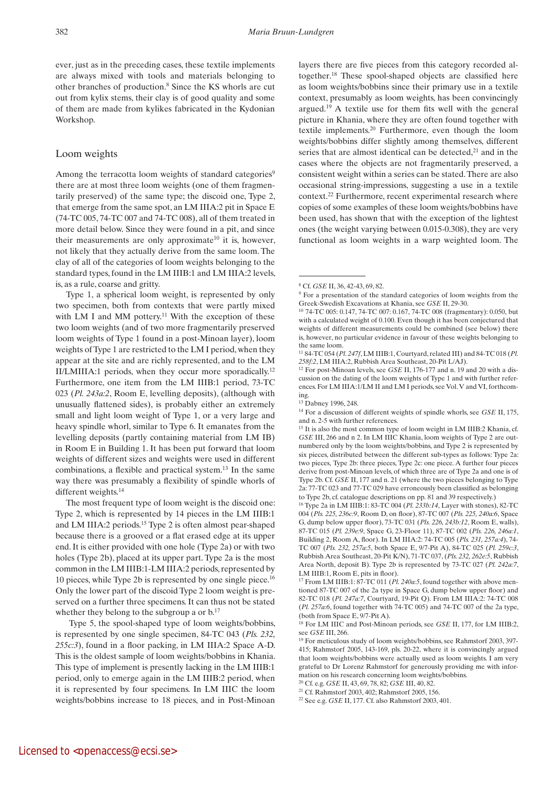ever, just as in the preceding cases, these textile implements are always mixed with tools and materials belonging to other branches of production.8 Since the KS whorls are cut out from kylix stems, their clay is of good quality and some of them are made from kylikes fabricated in the Kydonian Workshop.

#### Loom weights

Among the terracotta loom weights of standard categories<sup>9</sup> there are at most three loom weights (one of them fragmentarily preserved) of the same type; the discoid one, Type 2, that emerge from the same spot, an LM IIIA:2 pit in Space E (74-TC 005, 74-TC 007 and 74-TC 008), all of them treated in more detail below. Since they were found in a pit, and since their measurements are only approximate<sup>10</sup> it is, however, not likely that they actually derive from the same loom. The clay of all of the categories of loom weights belonging to the standard types, found in the LM IIIB:1 and LM IIIA:2 levels, is, as a rule, coarse and gritty.

Type 1, a spherical loom weight, is represented by only two specimen, both from contexts that were partly mixed with LM I and MM pottery.<sup>11</sup> With the exception of these two loom weights (and of two more fragmentarily preserved loom weights of Type 1 found in a post-Minoan layer), loom weights of Type 1 are restricted to the LM I period, when they appear at the site and are richly represented, and to the LM II/LMIIIA:1 periods, when they occur more sporadically.12 Furthermore, one item from the LM IIIB:1 period, 73-TC 023 (*Pl. 243a:2*, Room E, levelling deposits), (although with unusually flattened sides), is probably either an extremely small and light loom weight of Type 1, or a very large and heavy spindle whorl, similar to Type 6. It emanates from the levelling deposits (partly containing material from LM IB) in Room E in Building 1. It has been put forward that loom weights of different sizes and weights were used in different combinations, a flexible and practical system.13 In the same way there was presumably a flexibility of spindle whorls of different weights.<sup>14</sup>

The most frequent type of loom weight is the discoid one: Type 2, which is represented by 14 pieces in the LM IIIB:1 and LM IIIA:2 periods.15 Type 2 is often almost pear-shaped because there is a grooved or a flat erased edge at its upper end. It is either provided with one hole (Type 2a) or with two holes (Type 2b), placed at its upper part. Type 2a is the most common in the LM IIIB:1-LM IIIA:2 periods, represented by 10 pieces, while Type 2b is represented by one single piece.16 Only the lower part of the discoid Type 2 loom weight is preserved on a further three specimens. It can thus not be stated whether they belong to the subgroup a or  $b$ .<sup>17</sup>

Type 5, the spool-shaped type of loom weights/bobbins, is represented by one single specimen, 84-TC 043 (*Pls. 232, 255c:3*), found in a floor packing, in LM IIIA:2 Space A-D. This is the oldest sample of loom weights/bobbins in Khania. This type of implement is presently lacking in the LM IIIB:1 period, only to emerge again in the LM IIIB:2 period, when it is represented by four specimens. In LM IIIC the loom weights/bobbins increase to 18 pieces, and in Post-Minoan layers there are five pieces from this category recorded altogether.18 These spool-shaped objects are classified here as loom weights/bobbins since their primary use in a textile context, presumably as loom weights, has been convincingly argued.19 A textile use for them fits well with the general picture in Khania, where they are often found together with textile implements.20 Furthermore, even though the loom weights/bobbins differ slightly among themselves, different series that are almost identical can be detected,<sup>21</sup> and in the cases where the objects are not fragmentarily preserved, a consistent weight within a series can be stated. There are also occasional string-impressions, suggesting a use in a textile context.22 Furthermore, recent experimental research where copies of some examples of these loom weights/bobbins have been used, has shown that with the exception of the lightest ones (the weight varying between 0.015-0.308), they are very functional as loom weights in a warp weighted loom. The

004 (*Pls. 225, 236c:9*, Room D, on floor), 87-TC 007 (*Pls. 225, 240a:6*, Space G, dump below upper floor), 73-TC 031 (*Pls. 226, 243b:12*, Room E, walls), 87-TC 015 (*Pl. 239e:9*, Space G, 23-Floor 11), 87-TC 002 (*Pls. 226, 246a:1*, Building 2, Room A, floor). In LM IIIA:2: 74-TC 005 (*Pls. 231, 257a:4*), 74- TC 007 (*Pls. 232, 257a:5*, both Space E, 9/7-Pit A), 84-TC 025 (*Pl. 259c:3*, Rubbish Area Southeast, 20-Pit K/N), 71-TC 037, (*Pls. 232, 262e:5*, Rubbish Area North, deposit B). Type 2b is represented by 73-TC 027 (*Pl. 242a:7*, LM IIIB:1, Room E, pits in floor).

<sup>17</sup> From LM IIIB:1: 87-TC 011 (*Pl. 240a:5*, found together with above mentioned 87-TC 007 of the 2a type in Space G, dump below upper floor) and 82-TC 018 (*Pl. 247a:7*, Courtyard, 19-Pit Q). From LM IIIA:2: 74-TC 008 (*Pl. 257a:6*, found together with 74-TC 005) and 74-TC 007 of the 2a type, (both from Space E, 9/7-Pit A).

18 For LM IIIC and Post-Minoan periods, see *GSE* II, 177, for LM IIIB:2,

<sup>8</sup> Cf. *GSE* II, 36, 42-43, 69, 82.

<sup>&</sup>lt;sup>9</sup> For a presentation of the standard categories of loom weights from the Greek-Swedish Excavations at Khania, see *GSE* II, 29-30.

<sup>10 74-</sup>TC 005: 0.147, 74-TC 007: 0.167, 74-TC 008 (fragmentary): 0.050, but with a calculated weight of 0.100. Even though it has been conjectured that weights of different measurements could be combined (see below) there is, however, no particular evidence in favour of these weights belonging to the same loom.

<sup>11 84-</sup>TC 054 (*Pl. 247f*, LM IIIB:1, Courtyard, related III) and 84-TC 018 (*Pl. 258f:2*, LM IIIA:2, Rubbish Area Southeast, 20-Pit L/AJ).

<sup>12</sup> For post-Minoan levels, see *GSE* II, 176-177 and n. 19 and 20 with a discussion on the dating of the loom weights of Type 1 and with further references. For LM IIIA:1/LM II and LM I periods, see Vol. V and VI, forthcoming.

<sup>13</sup> Dabney 1996, 248.

<sup>14</sup> For a discussion of different weights of spindle whorls, see *GSE* II, 175, and n. 2-5 with further references.

<sup>15</sup> It is also the most common type of loom weight in LM IIIB:2 Khania, cf. *GSE* III, 266 and n 2. In LM IIIC Khania, loom weights of Type 2 are outnumbered only by the loom weights/bobbins, and Type 2 is represented by six pieces, distributed between the different sub-types as follows: Type 2a: two pieces, Type 2b: three pieces, Type 2c: one piece. A further four pieces derive from post-Minoan levels, of which three are of Type 2a and one is of Type 2b. Cf. *GSE* II, 177 and n. 21 (where the two pieces belonging to Type 2a: 77-TC 023 and 77-TC 029 have erroneously been classified as belonging to Type 2b, cf. catalogue descriptions on pp. 81 and 39 respectively.) 16 Type 2a in LM IIIB:1: 83-TC 004 (*Pl. 233b:14*, Layer with stones), 82-TC

see *GSE* III, 266.<br><sup>19</sup> For meticulous study of loom weights/bobbins, see Rahmstorf 2003, 397-415; Rahmstorf 2005, 143-169, pls. 20-22, where it is convincingly argued that loom weights/bobbins were actually used as loom weights. I am very grateful to Dr Lorenz Rahmstorf for generously providing me with information on his research concerning loom weights/bobbins.

<sup>20</sup> Cf. e.g. *GSE* II, 43, 69, 78, 82; *GSE* III, 40, 82.

<sup>21</sup> Cf. Rahmstorf 2003, 402; Rahmstorf 2005, 156.

<sup>22</sup> See e.g. *GSE* II, 177. Cf. also Rahmstorf 2003, 401.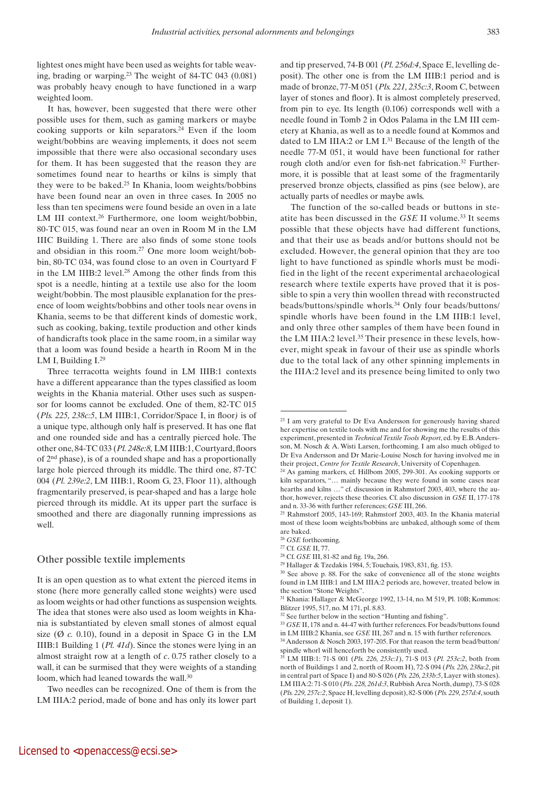lightest ones might have been used as weights for table weaving, brading or warping.23 The weight of 84-TC 043 (0.081) was probably heavy enough to have functioned in a warp weighted loom.

It has, however, been suggested that there were other possible uses for them, such as gaming markers or maybe cooking supports or kiln separators.24 Even if the loom weight/bobbins are weaving implements, it does not seem impossible that there were also occasional secondary uses for them. It has been suggested that the reason they are sometimes found near to hearths or kilns is simply that they were to be baked.25 In Khania, loom weights/bobbins have been found near an oven in three cases. In 2005 no less than ten specimens were found beside an oven in a late LM III context.26 Furthermore, one loom weight/bobbin, 80-TC 015, was found near an oven in Room M in the LM IIIC Building 1. There are also finds of some stone tools and obsidian in this room.27 One more loom weight/bobbin, 80-TC 034, was found close to an oven in Courtyard F in the LM IIIB:2 level.28 Among the other finds from this spot is a needle, hinting at a textile use also for the loom weight/bobbin. The most plausible explanation for the presence of loom weights/bobbins and other tools near ovens in Khania, seems to be that different kinds of domestic work, such as cooking, baking, textile production and other kinds of handicrafts took place in the same room, in a similar way that a loom was found beside a hearth in Room M in the LM I, Building  $I^{29}$ 

Three terracotta weights found in LM IIIB:1 contexts have a different appearance than the types classified as loom weights in the Khania material. Other uses such as suspensor for looms cannot be excluded. One of them, 82-TC 015 (*Pls. 225, 238c:5*, LM IIIB:1, Corridor/Space I, in floor*)* is of a unique type, although only half is preserved. It has one flat and one rounded side and has a centrally pierced hole. The other one, 84-TC 033 (*Pl. 248e:8,* LM IIIB:1, Courtyard, floors of 2nd phase), is of a rounded shape and has a proportionally large hole pierced through its middle. The third one, 87-TC 004 (*Pl. 239e:2*, LM IIIB:1, Room G, 23, Floor 11), although fragmentarily preserved, is pear-shaped and has a large hole pierced through its middle. At its upper part the surface is smoothed and there are diagonally running impressions as well.

#### Other possible textile implements

It is an open question as to what extent the pierced items in stone (here more generally called stone weights) were used as loom weights or had other functions as suspension weights. The idea that stones were also used as loom weights in Khania is substantiated by eleven small stones of almost equal size  $(\emptyset c. 0.10)$ , found in a deposit in Space G in the LM IIIB:1 Building 1 (*Pl. 41d*). Since the stones were lying in an almost straight row at a length of *c*. 0.75 rather closely to a wall, it can be surmised that they were weights of a standing loom, which had leaned towards the wall.<sup>30</sup>

Two needles can be recognized. One of them is from the LM IIIA:2 period, made of bone and has only its lower part and tip preserved, 74-B 001 (*Pl. 256d:4*, Space E, levelling deposit). The other one is from the LM IIIB:1 period and is made of bronze, 77-M 051 (*Pls. 221, 235c:3*, Room C, between layer of stones and floor). It is almost completely preserved, from pin to eye. Its length (0.106) corresponds well with a needle found in Tomb 2 in Odos Palama in the LM III cemetery at Khania, as well as to a needle found at Kommos and dated to LM IIIA:2 or LM I.<sup>31</sup> Because of the length of the needle 77-M 051, it would have been functional for rather rough cloth and/or even for fish-net fabrication.<sup>32</sup> Furthermore, it is possible that at least some of the fragmentarily preserved bronze objects, classified as pins (see below), are actually parts of needles or maybe awls.

The function of the so-called beads or buttons in steatite has been discussed in the *GSE* II volume.<sup>33</sup> It seems possible that these objects have had different functions, and that their use as beads and/or buttons should not be excluded. However, the general opinion that they are too light to have functioned as spindle whorls must be modified in the light of the recent experimental archaeological research where textile experts have proved that it is possible to spin a very thin woollen thread with reconstructed beads/buttons/spindle whorls.34 Only four beads/buttons/ spindle whorls have been found in the LM IIIB:1 level, and only three other samples of them have been found in the LM IIIA:2 level.35 Their presence in these levels, however, might speak in favour of their use as spindle whorls due to the total lack of any other spinning implements in the IIIA:2 level and its presence being limited to only two

<sup>&</sup>lt;sup>23</sup> I am very grateful to Dr Eva Andersson for generously having shared her expertise on textile tools with me and for showing me the results of this experiment, presented in *Technical Textile Tools Report*, ed. by E.B. Andersson, M. Nosch & A. Wisti Larsen, forthcoming. I am also much obliged to Dr Eva Andersson and Dr Marie-Louise Nosch for having involved me in

their project, *Centre for Textile Research*, University of Copenhagen. 24 As gaming markers, cf. Hillbom 2005, 299-301. As cooking supports or kiln separators, "… mainly because they were found in some cases near hearths and kilns …" cf. discussion in Rahmstorf 2003, 403, where the author, however, rejects these theories. Cf. also discussion in *GSE* II, 177-178

and n. 33-36 with further references; *GSE* III, 266. 25 Rahmstorf 2005, 143-169; Rahmstorf 2003, 403. In the Khania material most of these loom weights/bobbins are unbaked, although some of them are baked.

<sup>&</sup>lt;sup>26</sup> *GSE* forthcoming.<br><sup>27</sup> Cf. *GSE* II, 77.

<sup>&</sup>lt;sup>28</sup> Cf. *GSE* III, 81-82 and fig. 19a, 266.

<sup>29</sup> Hallager & Tzedakis 1984, 5; Touchais, 1983, 831, fig. 153.

<sup>30</sup> See above p. 88. For the sake of convenience all of the stone weights found in LM IIIB:1 and LM IIIA:2 periods are, however, treated below in the section "Stone Weights".

<sup>31</sup> Khania: Hallager & McGeorge 1992, 13-14, no. M 519, Pl. 10B; Kommos: Blitzer 1995, 517, no. M 171, pl. 8.83.

<sup>32</sup> See further below in the section "Hunting and fishing".

<sup>33</sup> *GSE* II, 178 and n. 44-47 with further references. For beads/buttons found

in LM IIIB:2 Khania, see *GSE* III, 267 and n. 15 with further references. 34 Andersson & Nosch 2003, 197-205. For that reason the term bead/button/ spindle whorl will henceforth be consistently used.

<sup>35</sup> LM IIIB:1: 71-S 001 (*Pls. 226, 253c:1*), 71-S 013 (*Pl. 253c:2*, both from north of Buildings 1 and 2, north of Room H), 72-S 094 (*Pls. 226, 238a:2*, pit in central part of Space I) and 80-S 026 (*Pls. 226, 233b:5*, Layer with stones). LM IIIA:2: 71-S 010 (*Pls*. *228, 261d:3*, Rubbish Area North, dump), 73-S 028 (*Pls. 229, 257c:2*, Space H, levelling deposit), 82-S 006 (*Pls. 229, 257d:4*, south of Building 1, deposit 1).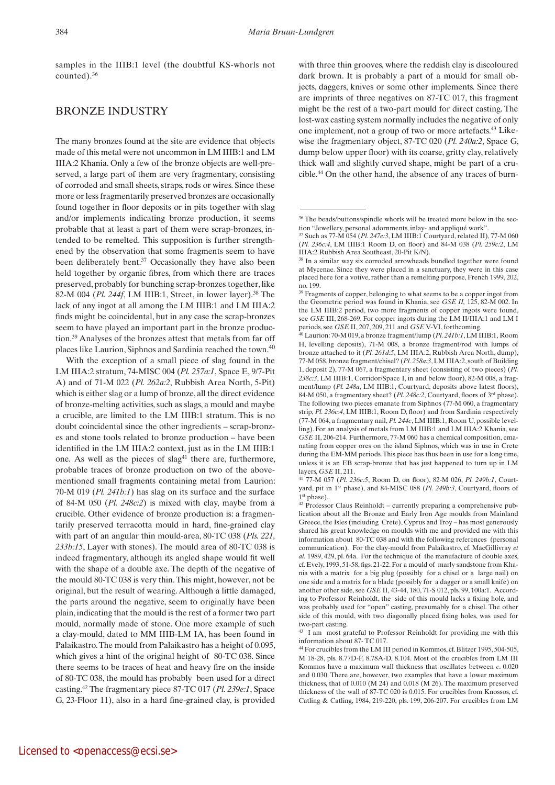samples in the IIIB:1 level (the doubtful KS-whorls not counted).36

### Bronze industry

The many bronzes found at the site are evidence that objects made of this metal were not uncommon in LM IIIB:1 and LM IIIA:2 Khania. Only a few of the bronze objects are well-preserved, a large part of them are very fragmentary, consisting of corroded and small sheets, straps, rods or wires. Since these more or less fragmentarily preserved bronzes are occasionally found together in floor deposits or in pits together with slag and/or implements indicating bronze production, it seems probable that at least a part of them were scrap-bronzes, intended to be remelted. This supposition is further strengthened by the observation that some fragments seem to have been deliberately bent.<sup>37</sup> Occasionally they have also been held together by organic fibres, from which there are traces preserved, probably for bunching scrap-bronzes together, like 82-M 004 (*Pl. 244f*, LM IIIB:1, Street, in lower layer).38 The lack of any ingot at all among the LM IIIB:1 and LM IIIA:2 finds might be coincidental, but in any case the scrap-bronzes seem to have played an important part in the bronze production.39 Analyses of the bronzes attest that metals from far off places like Laurion, Siphnos and Sardinia reached the town.<sup>40</sup>

With the exception of a small piece of slag found in the LM IIIA:2 stratum, 74-MISC 004 (*Pl. 257a:1*, Space E, 9/7-Pit A) and of 71-M 022 (*Pl. 262a:2*, Rubbish Area North, 5-Pit) which is either slag or a lump of bronze, all the direct evidence of bronze-melting activities, such as slags, a mould and maybe a crucible, are limited to the LM IIIB:1 stratum. This is no doubt coincidental since the other ingredients – scrap-bronzes and stone tools related to bronze production – have been identified in the LM IIIA:2 context, just as in the LM IIIB:1 one. As well as the pieces of  $slag<sup>41</sup>$  there are, furthermore, probable traces of bronze production on two of the abovementioned small fragments containing metal from Laurion: 70-M 019 (*Pl. 241b:1*) has slag on its surface and the surface of 84-M 050 (*Pl. 248c:2*) is mixed with clay, maybe from a crucible. Other evidence of bronze production is: a fragmentarily preserved terracotta mould in hard, fine-grained clay with part of an angular thin mould-area, 80-TC 038 (*Pls. 221, 233b:15*, Layer with stones). The mould area of 80-TC 038 is indeed fragmentary, although its angled shape would fit well with the shape of a double axe. The depth of the negative of the mould 80-TC 038 is very thin. This might, however, not be original, but the result of wearing. Although a little damaged, the parts around the negative, seem to originally have been plain, indicating that the mould is the rest of a former two part mould, normally made of stone. One more example of such a clay-mould, dated to MM IIIB-LM IA, has been found in Palaikastro. The mould from Palaikastro has a height of 0.095, which gives a hint of the original height of 80-TC 038. Since there seems to be traces of heat and heavy fire on the inside of 80-TC 038, the mould has probably been used for a direct casting.42 The fragmentary piece 87-TC 017 (*Pl. 239e:1*, Space G, 23-Floor 11), also in a hard fine-grained clay, is provided

with three thin grooves, where the reddish clay is discoloured dark brown. It is probably a part of a mould for small objects, daggers, knives or some other implements. Since there are imprints of three negatives on 87-TC 017, this fragment might be the rest of a two-part mould for direct casting. The lost-wax casting system normally includes the negative of only one implement, not a group of two or more artefacts.43 Likewise the fragmentary object, 87-TC 020 (*Pl. 240a:2*, Space G, dump below upper floor) with its coarse, gritty clay, relatively thick wall and slightly curved shape, might be part of a crucible.44 On the other hand, the absence of any traces of burn-

41 77-M 057 (*Pl. 236c:5*, Room D, on floor), 82-M 026, *Pl. 249b:1*, Courtyard, pit in 1st phase), and 84-MISC 088 (*Pl. 249b:3*, Courtyard, floors of 1st phase).

 $42$  Professor Claus Reinholdt – currently preparing a comprehensive publication about all the Bronze and Early Iron Age moulds from Mainland Greece, the Isles (including Crete), Cyprus and Troy – has most generously shared his great knowledge on moulds with me and provided me with this information about 80-TC 038 and with the following references (personal communication). For the clay-mould from Palaikastro, cf. MacGillivray *et al.* 1989, 429, pl. 64a. For the technique of the manufacture of double axes, cf. Evely, 1993, 51-58, figs. 21-22. For a mould of marly sandstone from Khania with a matrix for a big plug (possibly for a chisel or a large nail) on one side and a matrix for a blade (possibly for a dagger or a small knife) on another other side, see *GSE* II, 43-44, 180, 71-S 012, pls. 99, 100a:1. According to Professor Reinholdt, the side of this mould lacks a fixing hole, and was probably used for "open" casting, presumably for a chisel. The other side of this mould, with two diagonally placed fixing holes, was used for two-part casting.

<sup>43</sup> I am most grateful to Professor Reinholdt for providing me with this information about 87- TC 017.

44 For crucibles from the LM III period in Kommos, cf. Blitzer 1995, 504-505, M 18-28, pls. 8.77D-F, 8.78A-D, 8.104. Most of the crucibles from LM III Kommos have a maximum wall thickness that oscillates between *c*. 0.020 and 0.030. There are, however, two examples that have a lower maximum thickness, that of 0.010 (M 24) and 0.018 (M 26). The maximum preserved thickness of the wall of 87-TC 020 is 0.015. For crucibles from Knossos, cf. Catling & Catling, 1984, 219-220, pls. 199, 206-207. For crucibles from LM

<sup>&</sup>lt;sup>36</sup> The beads/buttons/spindle whorls will be treated more below in the section "Jewellery, personal adornments, inlay- and appliqué work".

<sup>37</sup> Such as 77-M 054 (*Pl. 247e:3*, LM IIIB:1 Courtyard, related II), 77-M 060 (*Pl. 236c:4*, LM IIIB:1 Room D, on floor) and 84-M 038 (*Pl. 259c:2*, LM IIIA:2 Rubbish Area Southeast, 20-Pit K/N).

<sup>38</sup> In a similar way six corroded arrowheads bundled together were found at Mycenae. Since they were placed in a sanctuary, they were in this case placed here for a votive, rather than a remelting purpose, French 1999, 202, no. 199.

<sup>&</sup>lt;sup>39</sup> Fragments of copper, belonging to what seems to be a copper ingot from the Geometric period was found in Khania, see *GSE II,* 125, 82-M 002. In the LM IIIB:2 period, two more fragments of copper ingots were found, see *GSE* III, 268-269. For copper ingots during the LM II/IIIA:1 and LM I periods, see *GSE* II, 207, 209, 211 and *GSE* V-VI, forthcoming.

<sup>40</sup> Laurion: 70-M 019, a bronze fragment/lump (*Pl. 241b:1*, LM IIIB:1, Room H, levelling deposits), 71-M 008, a bronze fragment/rod with lumps of bronze attached to it (*Pl. 261d:5*, LM IIIA:2, Rubbish Area North, dump), 77-M 058, bronze fragment/chisel? (*Pl. 258a:3*, LM IIIA:2, south of Building 1, deposit 2), 77-M 067, a fragmentary sheet (consisting of two pieces) (*Pl. 238c:3*, LM IIIB:1, Corridor/Space I, in and below floor), 82-M 008, a fragment/lump (*Pl. 248a*, LM IIIB:1, Courtyard, deposits above latest floors), 84-M 050, a fragmentary sheet? (*Pl. 248c:2*, Courtyard, floors of 3rd phase). The following two pieces emanate from Siphnos (77-M 060, a fragmentary strip, *Pl. 236c:4*, LM IIIB:1, Room D, floor) and from Sardinia respectively (77-M 064, a fragmentary nail, *Pl. 244c*, LM IIIB:1, Room U, possible levelling). For an analysis of metals from LM IIIB:1 and LM IIIA:2 Khania, see *GSE* II, 206-214. Furthermore, 77-M 060 has a chemical composition, emanating from copper ores on the island Siphnos, which was in use in Crete during the EM-MM periods. This piece has thus been in use for a long time, unless it is an EB scrap-bronze that has just happened to turn up in LM layers, *GSE* II, 211.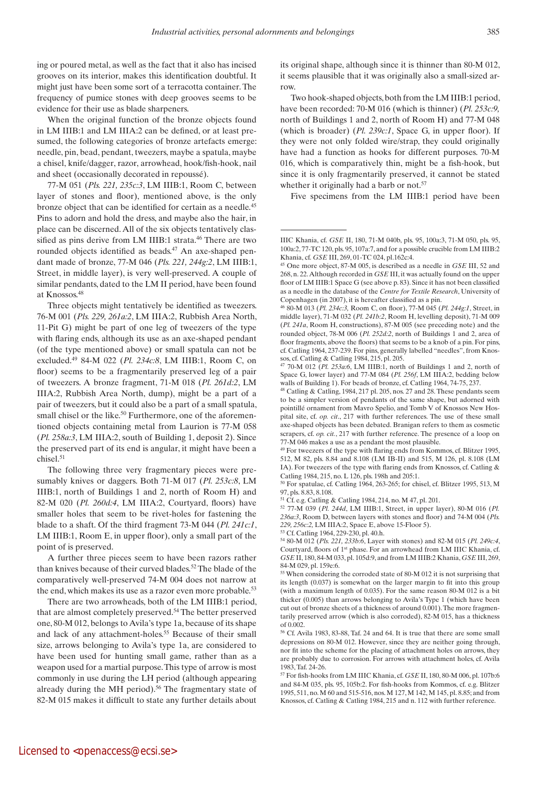ing or poured metal, as well as the fact that it also has incised grooves on its interior, makes this identification doubtful. It might just have been some sort of a terracotta container. The frequency of pumice stones with deep grooves seems to be evidence for their use as blade sharpeners.

When the original function of the bronze objects found in LM IIIB:1 and LM IIIA:2 can be defined, or at least presumed, the following categories of bronze artefacts emerge: needle, pin, bead, pendant, tweezers, maybe a spatula, maybe a chisel, knife/dagger, razor, arrowhead, hook/fish-hook, nail and sheet (occasionally decorated in repoussé).

77-M 051 (*Pls. 221, 235c:3*, LM IIIB:1, Room C, between layer of stones and floor), mentioned above, is the only bronze object that can be identified for certain as a needle.45 Pins to adorn and hold the dress, and maybe also the hair, in place can be discerned. All of the six objects tentatively classified as pins derive from LM IIIB:1 strata.<sup>46</sup> There are two rounded objects identified as beads.<sup>47</sup> An axe-shaped pendant made of bronze, 77-M 046 (*Pls. 221, 244g:2*, LM IIIB:1, Street, in middle layer), is very well-preserved. A couple of similar pendants, dated to the LM II period, have been found at Knossos.48

Three objects might tentatively be identified as tweezers. 76-M 001 (*Pls. 229, 261a:2*, LM IIIA:2, Rubbish Area North, 11-Pit G) might be part of one leg of tweezers of the type with flaring ends, although its use as an axe-shaped pendant (of the type mentioned above) or small spatula can not be excluded.49 84-M 022 (*Pl. 234c:8*, LM IIIB:1, Room C, on floor) seems to be a fragmentarily preserved leg of a pair of tweezers. A bronze fragment, 71-M 018 (*Pl. 261d:2*, LM IIIA:2, Rubbish Area North, dump), might be a part of a pair of tweezers, but it could also be a part of a small spatula, small chisel or the like.<sup>50</sup> Furthermore, one of the aforementioned objects containing metal from Laurion is 77-M 058 (*Pl. 258a:3*, LM IIIA:2, south of Building 1, deposit 2). Since the preserved part of its end is angular, it might have been a chisel.<sup>51</sup>

The following three very fragmentary pieces were presumably knives or daggers. Both 71-M 017 (*Pl. 253c:8*, LM IIIB:1, north of Buildings 1 and 2, north of Room H) and 82-M 020 (*Pl. 260d:4*, LM IIIA:2, Courtyard, floors) have smaller holes that seem to be rivet-holes for fastening the blade to a shaft. Of the third fragment 73-M 044 (*Pl. 241c:1*, LM IIIB:1, Room E, in upper floor), only a small part of the point of is preserved.

A further three pieces seem to have been razors rather than knives because of their curved blades.52 The blade of the comparatively well-preserved 74-M 004 does not narrow at the end, which makes its use as a razor even more probable.<sup>53</sup>

There are two arrowheads, both of the LM IIIB:1 period, that are almost completely preserved.<sup>54</sup> The better preserved one, 80-M 012, belongs to Avila's type 1a, because of its shape and lack of any attachment-holes.<sup>55</sup> Because of their small size, arrows belonging to Avila's type 1a, are considered to have been used for hunting small game, rather than as a weapon used for a martial purpose. This type of arrow is most commonly in use during the LH period (although appearing already during the MH period).<sup>56</sup> The fragmentary state of 82-M 015 makes it difficult to state any further details about

its original shape, although since it is thinner than 80-M 012, it seems plausible that it was originally also a small-sized arrow.

Two hook-shaped objects, both from the LM IIIB:1 period, have been recorded: 70-M 016 (which is thinner) (*Pl. 253c:9,* north of Buildings 1 and 2, north of Room H) and 77-M 048 (which is broader) (*Pl. 239c:1*, Space G, in upper floor). If they were not only folded wire/strap, they could originally have had a function as hooks for different purposes. 70-M 016, which is comparatively thin, might be a fish-hook, but since it is only fragmentarily preserved, it cannot be stated whether it originally had a barb or not.<sup>57</sup>

Five specimens from the LM IIIB:1 period have been

49 For tweezers of the type with flaring ends from Kommos, cf. Blitzer 1995, 512, M 82, pls. 8.84 and 8.108 (LM IB-II) and 515, M 126, pl. 8.108 (LM IA). For tweezers of the type with flaring ends from Knossos, cf. Catling & Catling 1984, 215, no. L 126, pls. 198h and 205:1.

50 For spatulae, cf. Catling 1964, 263-265; for chisel, cf. Blitzer 1995, 513, M 97, pls. 8.83, 8.108.

51 Cf. e.g. Catling & Catling 1984, 214, no. M 47, pl. 201.

52 77-M 039 (*Pl. 244d*, LM IIIB:1, Street, in upper layer), 80-M 016 (*Pl. 236a:3*, Room D, between layers with stones and floor) and 74-M 004 (*Pls. 229, 256c:2,* LM IIIA:2, Space E, above 15-Floor 5). 53 Cf. Catling 1964, 229-230, pl. 40.h.

54 80-M 012 (*Pls. 221, 233b:6*, Layer with stones) and 82-M 015 (*Pl. 249c:4*, Courtyard, floors of 1st phase. For an arrowhead from LM IIIC Khania, cf. *GSE* II, 180, 84-M 033, pl. 105d:9, and from LM IIIB:2 Khania, *GSE* III, 269, 84-M 029, pl. 159e:6.

55 When considering the corroded state of 80-M 012 it is not surprising that its length (0.037) is somewhat on the larger margin to fit into this group (with a maximum length of 0.035). For the same reason 80-M 012 is a bit thicker (0.005) than arrows belonging to Avila's Type 1 (which have been cut out of bronze sheets of a thickness of around 0.001). The more fragmentarily preserved arrow (which is also corroded), 82-M 015, has a thickness of 0.002.

56 Cf. Avila 1983, 83-88, Taf. 24 and 64. It is true that there are some small depressions on 80-M 012. However, since they are neither going through, nor fit into the scheme for the placing of attachment holes on arrows, they are probably due to corrosion. For arrows with attachment holes, cf. Avila 1983, Taf. 24-26.

57 For fish-hooks from LM IIIC Khania, cf. *GSE* II, 180, 80-M 006, pl. 107b:6 and 84-M 035, pls. 95, 105b:2. For fish-hooks from Kommos, cf. e.g. Blitzer 1995, 511, no. M 60 and 515-516, nos. M 127, M 142, M 145, pl. 8.85; and from Knossos, cf. Catling & Catling 1984, 215 and n. 112 with further reference.

IIIC Khania, cf. *GSE* II, 180, 71-M 040b, pls. 95, 100a:3, 71-M 050, pls. 95, 100a:2, 77-TC 120, pls. 95, 107a:7, and for a possible crucible from LM IIIB:2 Khania, cf. *GSE* III, 269, 01-TC 024, pl.162c:4.

<sup>45</sup> One more object, 87-M 005, is described as a needle in *GSE* III, 52 and 268, n. 22. Although recorded in *GSE* III, it was actually found on the upper floor of LM IIIB:1 Space G (see above p. 83). Since it has not been classified as a needle in the database of the *Centre for Textile Research*, University of Copenhagen (in 2007), it is hereafter classified as a pin.

<sup>46 80-</sup>M 013 (*Pl. 234c:3,* Room C, on floor), 77-M 045 (*Pl. 244g:1*, Street, in middle layer), 71-M 032 (*Pl. 241b:2*, Room H, levelling deposit), 71-M 009 (*Pl. 241a*, Room H, constructions), 87-M 005 (see preceding note) and the rounded object, 78-M 006 (*Pl. 252d:2*, north of Buildings 1 and 2, area of floor fragments, above the floors) that seems to be a knob of a pin. For pins, cf. Catling 1964, 237-239. For pins, generally labelled "needles", from Knossos, cf. Catling & Catling 1984, 215, pl. 205.

<sup>47 70-</sup>M 012 (*Pl. 253a:6*, LM IIIB:1, north of Buildings 1 and 2, north of Space G, lower layer) and 77-M 084 (*Pl. 256f*, LM IIIA:2, bedding below walls of Building 1). For beads of bronze, cf. Catling 1964, 74-75, 237.

<sup>48</sup> Catling & Catling, 1984, 217 pl. 205, nos. 27 and 28. These pendants seem to be a simpler version of pendants of the same shape, but adorned with pointillé ornament from Mavro Spelio, and Tomb V of Knossos New Hospital site, cf. *op. cit*., 217 with further references. The use of these small axe-shaped objects has been debated. Branigan refers to them as cosmetic scrapers, cf. *op. cit.*, 217 with further reference. The presence of a loop on 77-M 046 makes a use as a pendant the most plausible.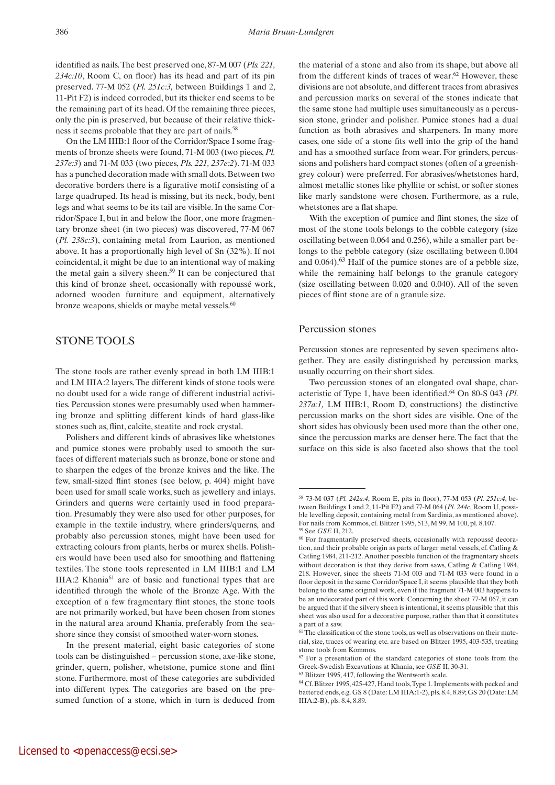identified as nails. The best preserved one, 87-M 007 (*Pls. 221, 234c:10*, Room C, on floor) has its head and part of its pin preserved. 77-M 052 (*Pl. 251c:3,* between Buildings 1 and 2, 11-Pit F2) is indeed corroded, but its thicker end seems to be the remaining part of its head. Of the remaining three pieces, only the pin is preserved, but because of their relative thickness it seems probable that they are part of nails.<sup>58</sup>

On the LM IIIB:1 floor of the Corridor/Space I some fragments of bronze sheets were found, 71-M 003 (two pieces, *Pl. 237e:3*) and 71-M 033 (two pieces, *Pls. 221, 237e:2*). 71-M 033 has a punched decoration made with small dots. Between two decorative borders there is a figurative motif consisting of a large quadruped. Its head is missing, but its neck, body, bent legs and what seems to be its tail are visible. In the same Corridor/Space I, but in and below the floor, one more fragmentary bronze sheet (in two pieces) was discovered, 77-M 067 (*Pl. 238c:3*), containing metal from Laurion, as mentioned above. It has a proportionally high level of Sn (32%). If not coincidental, it might be due to an intentional way of making the metal gain a silvery sheen.<sup>59</sup> It can be conjectured that this kind of bronze sheet, occasionally with repoussé work, adorned wooden furniture and equipment, alternatively bronze weapons, shields or maybe metal vessels.<sup>60</sup>

### STONE TOOLS

The stone tools are rather evenly spread in both LM IIIB:1 and LM IIIA:2 layers. The different kinds of stone tools were no doubt used for a wide range of different industrial activities. Percussion stones were presumably used when hammering bronze and splitting different kinds of hard glass-like stones such as, flint, calcite, steatite and rock crystal.

Polishers and different kinds of abrasives like whetstones and pumice stones were probably used to smooth the surfaces of different materials such as bronze, bone or stone and to sharpen the edges of the bronze knives and the like. The few, small-sized flint stones (see below, p. 404) might have been used for small scale works, such as jewellery and inlays. Grinders and querns were certainly used in food preparation. Presumably they were also used for other purposes, for example in the textile industry, where grinders/querns, and probably also percussion stones, might have been used for extracting colours from plants, herbs or murex shells. Polishers would have been used also for smoothing and flattening textiles. The stone tools represented in LM IIIB:1 and LM IIIA:2 Khania<sup>61</sup> are of basic and functional types that are identified through the whole of the Bronze Age. With the exception of a few fragmentary flint stones, the stone tools are not primarily worked, but have been chosen from stones in the natural area around Khania, preferably from the seashore since they consist of smoothed water-worn stones.

In the present material, eight basic categories of stone tools can be distinguished – percussion stone, axe-like stone, grinder, quern, polisher, whetstone, pumice stone and flint stone. Furthermore, most of these categories are subdivided into different types. The categories are based on the presumed function of a stone, which in turn is deduced from the material of a stone and also from its shape, but above all from the different kinds of traces of wear.<sup>62</sup> However, these divisions are not absolute, and different traces from abrasives and percussion marks on several of the stones indicate that the same stone had multiple uses simultaneously as a percussion stone, grinder and polisher. Pumice stones had a dual function as both abrasives and sharpeners. In many more cases, one side of a stone fits well into the grip of the hand and has a smoothed surface from wear. For grinders, percussions and polishers hard compact stones (often of a greenishgrey colour) were preferred. For abrasives/whetstones hard, almost metallic stones like phyllite or schist, or softer stones like marly sandstone were chosen. Furthermore, as a rule, whetstones are a flat shape.

With the exception of pumice and flint stones, the size of most of the stone tools belongs to the cobble category (size oscillating between 0.064 and 0.256), while a smaller part belongs to the pebble category (size oscillating between 0.004 and  $0.064$ ).<sup>63</sup> Half of the pumice stones are of a pebble size, while the remaining half belongs to the granule category (size oscillating between 0.020 and 0.040). All of the seven pieces of flint stone are of a granule size.

#### Percussion stones

Percussion stones are represented by seven specimens altogether. They are easily distinguished by percussion marks, usually occurring on their short sides.

Two percussion stones of an elongated oval shape, characteristic of Type 1, have been identified.64 On 80-S 043 *(Pl. 237a:1,* LM IIIB:1, Room D, constructions) the distinctive percussion marks on the short sides are visible. One of the short sides has obviously been used more than the other one, since the percussion marks are denser here. The fact that the surface on this side is also faceted also shows that the tool

<sup>58 73-</sup>M 037 (*Pl. 242a:4*, Room E, pits in floor), 77-M 053 (*Pl. 251c:4*, between Buildings 1 and 2, 11-Pit F2) and 77-M 064 (*Pl. 244c*, Room U, possible levelling deposit, containing metal from Sardinia, as mentioned above). For nails from Kommos, cf. Blitzer 1995, 513, M 99, M 100, pl. 8.107.

<sup>&</sup>lt;sup>59</sup> See *GSE* II, 212.<br><sup>60</sup> For fragmentarily preserved sheets, occasionally with repoussé decoration, and their probable origin as parts of larger metal vessels, cf. Catling & Catling 1984, 211-212. Another possible function of the fragmentary sheets without decoration is that they derive from saws, Catling & Catling 1984, 218. However, since the sheets 71-M 003 and 71-M 033 were found in a floor deposit in the same Corridor/Space I, it seems plausible that they both belong to the same original work, even if the fragment 71-M 003 happens to be an undecorated part of this work. Concerning the sheet 77-M 067, it can be argued that if the silvery sheen is intentional, it seems plausible that this sheet was also used for a decorative purpose, rather than that it constitutes a part of a saw.

<sup>&</sup>lt;sup>61</sup> The classification of the stone tools, as well as observations on their material, size, traces of wearing etc. are based on Blitzer 1995, 403-535, treating stone tools from Kommos.

<sup>62</sup> For a presentation of the standard categories of stone tools from the Greek-Swedish Excavations at Khania, see *GSE* II, 30-31. <sup>63</sup> Blitzer 1995, 417, following the Wentworth scale.

<sup>64</sup> Cf. Blitzer 1995, 425-427, Hand tools, Type 1. Implements with pecked and battered ends, e.g. GS 8 (Date: LM IIIA:1-2), pls. 8.4, 8.89; GS 20 (Date: LM IIIA:2-B), pls. 8.4, 8.89.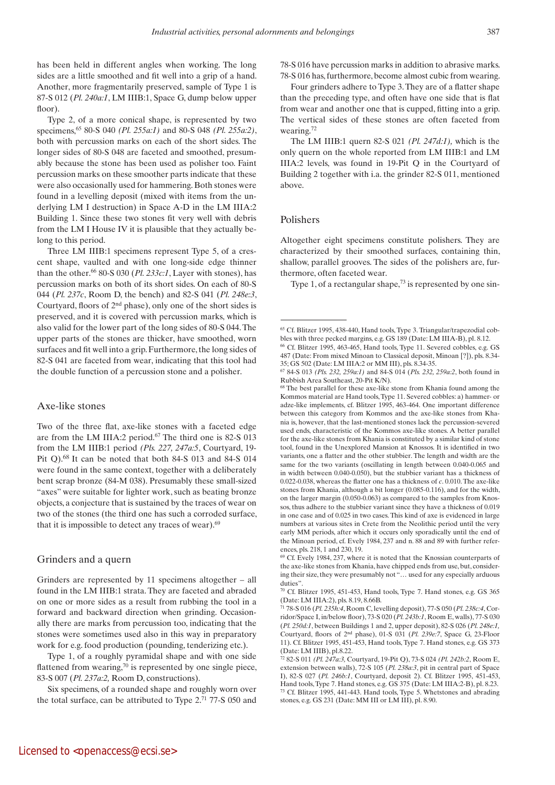has been held in different angles when working. The long sides are a little smoothed and fit well into a grip of a hand. Another, more fragmentarily preserved, sample of Type 1 is 87-S 012 (*Pl. 240a:1*, LM IIIB:1, Space G, dump below upper floor).

Type 2, of a more conical shape, is represented by two specimens,65 80-S 040 *(Pl. 255a:1)* and 80-S 048 *(Pl. 255a:2)*, both with percussion marks on each of the short sides. The longer sides of 80-S 048 are faceted and smoothed, presumably because the stone has been used as polisher too. Faint percussion marks on these smoother parts indicate that these were also occasionally used for hammering. Both stones were found in a levelling deposit (mixed with items from the underlying LM I destruction) in Space A-D in the LM IIIA:2 Building 1. Since these two stones fit very well with debris from the LM I House IV it is plausible that they actually belong to this period.

Three LM IIIB:1 specimens represent Type 5, of a crescent shape, vaulted and with one long-side edge thinner than the other.66 80-S 030 (*Pl. 233c:1*, Layer with stones), has percussion marks on both of its short sides. On each of 80-S 044 (*Pl. 237c*, Room D, the bench) and 82-S 041 (*Pl. 248e:3*, Courtyard, floors of 2nd phase), only one of the short sides is preserved, and it is covered with percussion marks, which is also valid for the lower part of the long sides of 80-S 044. The upper parts of the stones are thicker, have smoothed, worn surfaces and fit well into a grip. Furthermore, the long sides of 82-S 041 are faceted from wear, indicating that this tool had the double function of a percussion stone and a polisher.

#### Axe-like stones

Two of the three flat, axe-like stones with a faceted edge are from the LM IIIA:2 period.<sup>67</sup> The third one is 82-S 013 from the LM IIIB:1 period *(Pls. 227, 247a:5*, Courtyard, 19- Pit Q).<sup>68</sup> It can be noted that both 84-S 013 and 84-S 014 were found in the same context, together with a deliberately bent scrap bronze (84-M 038). Presumably these small-sized "axes" were suitable for lighter work, such as beating bronze objects, a conjecture that is sustained by the traces of wear on two of the stones (the third one has such a corroded surface, that it is impossible to detect any traces of wear).<sup>69</sup>

#### Grinders and a quern

Grinders are represented by 11 specimens altogether – all found in the LM IIIB:1 strata. They are faceted and abraded on one or more sides as a result from rubbing the tool in a forward and backward direction when grinding. Occasionally there are marks from percussion too, indicating that the stones were sometimes used also in this way in preparatory work for e.g. food production (pounding, tenderizing etc.).

Type 1, of a roughly pyramidal shape and with one side flattened from wearing, $\frac{70}{10}$  is represented by one single piece, 83-S 007 (*Pl. 237a:2,* Room D, constructions).

Six specimens, of a rounded shape and roughly worn over the total surface, can be attributed to Type 2.71 77-S 050 and

78-S 016 have percussion marks in addition to abrasive marks. 78-S 016 has, furthermore, become almost cubic from wearing.

Four grinders adhere to Type 3. They are of a flatter shape than the preceding type, and often have one side that is flat from wear and another one that is cupped, fitting into a grip. The vertical sides of these stones are often faceted from wearing.72

The LM IIIB:1 quern 82-S 021 *(Pl. 247d:1),* which is the only quern on the whole reported from LM IIIB:1 and LM IIIA:2 levels, was found in 19-Pit Q in the Courtyard of Building 2 together with i.a. the grinder 82-S 011, mentioned above.

#### Polishers

Altogether eight specimens constitute polishers. They are characterized by their smoothed surfaces, containing thin, shallow, parallel grooves. The sides of the polishers are, furthermore, often faceted wear.

Type 1, of a rectangular shape, $^{73}$  is represented by one sin-

70 Cf. Blitzer 1995, 451-453, Hand tools, Type 7. Hand stones, e.g. GS 365 (Date: LM IIIA:2), pls. 8.19, 8.66B.

<sup>65</sup> Cf. Blitzer 1995, 438-440, Hand tools, Type 3. Triangular/trapezodial cobbles with three pecked margins, e.g. GS 189 (Date: LM IIIA-B), pl. 8.12.

<sup>66</sup> Cf. Blitzer 1995, 463-465, Hand tools, Type 11. Severed cobbles, e.g. GS 487 (Date: From mixed Minoan to Classical deposit, Minoan [?]), pls. 8.34- 35; GS 502 (Date: LM IIIA:2 or MM III), pls. 8.34-35.

<sup>67 84-</sup>S 013 *(Pls. 232, 259a:1)* and 84-S 014 (*Pls. 232, 259a:2*, both found in Rubbish Area Southeast, 20-Pit K/N).

<sup>68</sup> The best parallel for these axe-like stone from Khania found among the Kommos material are Hand tools, Type 11. Severed cobbles: a) hammer- or adze-like implements, cf. Blitzer 1995, 463-464. One important difference between this category from Kommos and the axe-like stones from Khania is, however, that the last-mentioned stones lack the percussion-severed used ends, characteristic of the Kommos axe-like stones. A better parallel for the axe-like stones from Khania is constituted by a similar kind of stone tool, found in the Unexplored Mansion at Knossos. It is identified in two variants, one a flatter and the other stubbier. The length and width are the same for the two variants (oscillating in length between 0.040-0.065 and in width between 0.040-0.050), but the stubbier variant has a thickness of 0.022-0.038, whereas the flatter one has a thickness of *c*. 0.010. The axe-like stones from Khania, although a bit longer (0.085-0.116), and for the width, on the larger margin (0.050-0.063) as compared to the samples from Knossos, thus adhere to the stubbier variant since they have a thickness of 0.019 in one case and of 0.025 in two cases. This kind of axe is evidenced in large numbers at various sites in Crete from the Neolithic period until the very early MM periods, after which it occurs only sporadically until the end of the Minoan period, cf. Evely 1984, 237 and n. 88 and 89 with further references, pls. 218, 1 and 230, 19.

 $69$  Cf. Evely 1984, 237, where it is noted that the Knossian counterparts of the axe-like stones from Khania, have chipped ends from use, but, considering their size, they were presumably not "… used for any especially arduous duties".

<sup>71 78-</sup>S 016 (*Pl. 235h:4*, Room C, levelling deposit), 77-S 050 (*Pl. 238c:4*, Corridor/Space I, in/below floor), 73-S 020 (*Pl. 243b:1*, Room E, walls), 77-S 030 (*Pl. 250d:1*, between Buildings 1 and 2, upper deposit), 82-S 026 (*Pl. 248e:1,* Courtyard, floors of 2nd phase), 01-S 031 (*Pl. 239e:7*, Space G, 23-Floor 11). Cf. Blitzer 1995, 451-453, Hand tools, Type 7. Hand stones, e.g. GS 373 (Date: LM IIIB), pl.8.22.

<sup>72 82-</sup>S 011 *(Pl. 247a:3,* Courtyard, 19-Pit Q), 73-S 024 *(Pl. 242b:2*, Room E, extension between walls), 72-S 105 (*Pl. 238a:3*, pit in central part of Space I), 82-S 027 (*Pl. 246b:1*, Courtyard, deposit 2). Cf. Blitzer 1995, 451-453, Hand tools, Type 7. Hand stones, e.g. GS 375 (Date: LM IIIA:2-B), pl. 8.23. 73 Cf. Blitzer 1995, 441-443. Hand tools, Type 5. Whetstones and abrading stones, e.g. GS 231 (Date: MM III or LM III), pl. 8.90.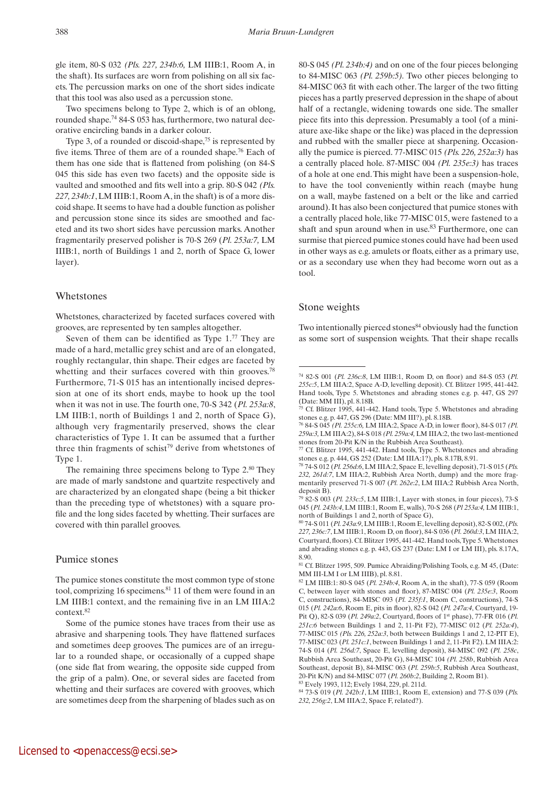gle item, 80-S 032 *(Pls. 227, 234b:6,* LM IIIB:1, Room A, in the shaft). Its surfaces are worn from polishing on all six facets. The percussion marks on one of the short sides indicate that this tool was also used as a percussion stone.

Two specimens belong to Type 2, which is of an oblong, rounded shape.74 84-S 053 has, furthermore, two natural decorative encircling bands in a darker colour.

Type 3, of a rounded or discoid-shape, $75$  is represented by five items. Three of them are of a rounded shape.76 Each of them has one side that is flattened from polishing (on 84-S 045 this side has even two facets) and the opposite side is vaulted and smoothed and fits well into a grip. 80-S 042 *(Pls. 227, 234b:1*, LM IIIB:1, Room A, in the shaft) is of a more discoid shape. It seems to have had a double function as polisher and percussion stone since its sides are smoothed and faceted and its two short sides have percussion marks. Another fragmentarily preserved polisher is 70-S 269 (*Pl. 253a:7,* LM IIIB:1, north of Buildings 1 and 2, north of Space G, lower layer).

#### Whetstones

Whetstones, characterized by faceted surfaces covered with grooves, are represented by ten samples altogether.

Seven of them can be identified as Type 1.77 They are made of a hard, metallic grey schist and are of an elongated, roughly rectangular, thin shape. Their edges are faceted by whetting and their surfaces covered with thin grooves.<sup>78</sup> Furthermore, 71-S 015 has an intentionally incised depression at one of its short ends, maybe to hook up the tool when it was not in use. The fourth one, 70-S 342 (*Pl. 253a:8*, LM IIIB:1, north of Buildings 1 and 2, north of Space G), although very fragmentarily preserved, shows the clear characteristics of Type 1. It can be assumed that a further three thin fragments of schist<sup>79</sup> derive from whetstones of Type 1.

The remaining three specimens belong to Type 2.<sup>80</sup> They are made of marly sandstone and quartzite respectively and are characterized by an elongated shape (being a bit thicker than the preceding type of whetstones) with a square profile and the long sides faceted by whetting. Their surfaces are covered with thin parallel grooves.

#### Pumice stones

The pumice stones constitute the most common type of stone tool, comprizing 16 specimens.<sup>81</sup> 11 of them were found in an LM IIIB:1 context, and the remaining five in an LM IIIA:2 context.82

80-S 045 *(Pl. 234b:4)* and on one of the four pieces belonging to 84-MISC 063 *(Pl. 259b:5).* Two other pieces belonging to 84-MISC 063 fit with each other. The larger of the two fitting pieces has a partly preserved depression in the shape of about half of a rectangle, widening towards one side. The smaller piece fits into this depression. Presumably a tool (of a miniature axe-like shape or the like) was placed in the depression and rubbed with the smaller piece at sharpening. Occasionally the pumice is pierced. 77-MISC 015 *(Pls. 226, 252a:3)* has a centrally placed hole. 87-MISC 004 *(Pl. 235e:3)* has traces of a hole at one end. This might have been a suspension-hole, to have the tool conveniently within reach (maybe hung on a wall, maybe fastened on a belt or the like and carried around). It has also been conjectured that pumice stones with a centrally placed hole, like 77-MISC 015, were fastened to a shaft and spun around when in use.<sup>83</sup> Furthermore, one can surmise that pierced pumice stones could have had been used in other ways as e.g. amulets or floats, either as a primary use, or as a secondary use when they had become worn out as a tool.

#### Stone weights

Two intentionally pierced stones<sup>84</sup> obviously had the function as some sort of suspension weights*.* That their shape recalls

Some of the pumice stones have traces from their use as abrasive and sharpening tools. They have flattened surfaces and sometimes deep grooves. The pumices are of an irregular to a rounded shape, or occasionally of a cupped shape (one side flat from wearing, the opposite side cupped from the grip of a palm). One, or several sides are faceted from whetting and their surfaces are covered with grooves, which are sometimes deep from the sharpening of blades such as on

<sup>74 82-</sup>S 001 (*Pl. 236c:8*, LM IIIB:1, Room D, on floor) and 84-S 053 (*Pl. 255c:5*, LM IIIA:2, Space A-D, levelling deposit). Cf. Blitzer 1995, 441-442. Hand tools, Type 5. Whetstones and abrading stones e.g. p. 447, GS 297 (Date: MM III), pl. 8.18B.

Cf. Blitzer 1995, 441-442. Hand tools, Type 5. Whetstones and abrading stones e.g. p. 447, GS 296 (Date: MM III?), pl. 8.18B.

<sup>76 84-</sup>S 045 *(Pl. 255c:6,* LM IIIA:2, Space A-D, in lower floor), 84-S 017 *(Pl. 259a:3,* LM IIIA:2), 84-S 018 *(Pl. 259a:4,* LM IIIA:2, the two last-mentioned stones from 20-Pit K/N in the Rubbish Area Southeast).

Cf. Blitzer 1995, 441-442. Hand tools, Type 5. Whetstones and abrading stones e.g. p. 444, GS 252 (Date: LM IIIA:1?), pls. 8.17B, 8.91.

<sup>78 74-</sup>S 012 (*Pl. 256d:6*, LM IIIA:2, Space E, levelling deposit), 71-S 015 (*Pls. 232, 261d:7*, LM IIIA:2, Rubbish Area North, dump) and the more fragmentarily preserved 71-S 007 (*Pl. 262e:2*, LM IIIA:2 Rubbish Area North, deposit B).

<sup>79 82-</sup>S 003 (*Pl. 233c:5*, LM IIIB:1, Layer with stones, in four pieces), 73-S 045 (*Pl. 243b:4*, LM IIIB:1, Room E, walls), 70-S 268 (*Pl 253a:4,* LM IIIB:1, north of Buildings 1 and 2, north of Space G),

<sup>80 74-</sup>S 011 (*Pl. 243a:9*, LM IIIB:1, Room E, levelling deposit), 82-S 002, (*Pls. 227, 236c:7*, LM IIIB:1, Room D, on floor), 84-S 036 (*Pl. 260d:3*, LM IIIA:2, Courtyard, floors). Cf. Blitzer 1995, 441-442. Hand tools, Type 5. Whetstones and abrading stones e.g. p. 443, GS 237 (Date: LM I or LM III), pls. 8.17A, 8.90.

<sup>81</sup> Cf. Blitzer 1995, 509. Pumice Abraiding/Polishing Tools, e.g. M 45, (Date: MM III-LM I or LM IIIB), pl. 8.81.

<sup>82</sup> LM IIIB:1: 80-S 045 (*Pl. 234b:4*, Room A, in the shaft), 77-S 059 (Room C, between layer with stones and floor), 87-MISC 004 (*Pl. 235e:3*, Room C, constructions), 84-MISC 093 (*Pl. 235f:1*, Room C, constructions), 74-S 015 (*Pl. 242a:6*, Room E, pits in floor), 82-S 042 (*Pl. 247a:4*, Courtyard, 19- Pit Q), 82-S 039 (*Pl. 249a:2*, Courtyard, floors of 1st phase), 77-FR 016 (*Pl. 251c:6* between Buildings 1 and 2, 11-Pit F2), 77-MISC 012 (*Pl. 252a:4*), 77-MISC 015 *(Pls. 226, 252a:3*, both between Buildings 1 and 2, 12-PIT E), 77-MISC 023 (*Pl. 251c:1*, between Buildings 1 and 2, 11-Pit F2). LM IIIA:2: 74-S 014 (*Pl. 256d:7*, Space E, levelling deposit), 84-MISC 092 (*Pl. 258c*, Rubbish Area Southeast, 20-Pit G), 84-MISC 104 *(Pl. 258b*, Rubbish Area Southeast, deposit B), 84-MISC 063 (*Pl. 259b:5*, Rubbish Area Southeast, 20-Pit K/N) and 84-MISC 077 (*Pl. 260b:2*, Building 2, Room B1).

<sup>83</sup> Evely 1993, 112; Evely 1984, 229, pl. 211d.

<sup>84 73-</sup>S 019 (*Pl. 242b:1*, LM IIIB:1, Room E, extension) and 77-S 039 (*Pls. 232, 256g:2*, LM IIIA:2, Space F, related?).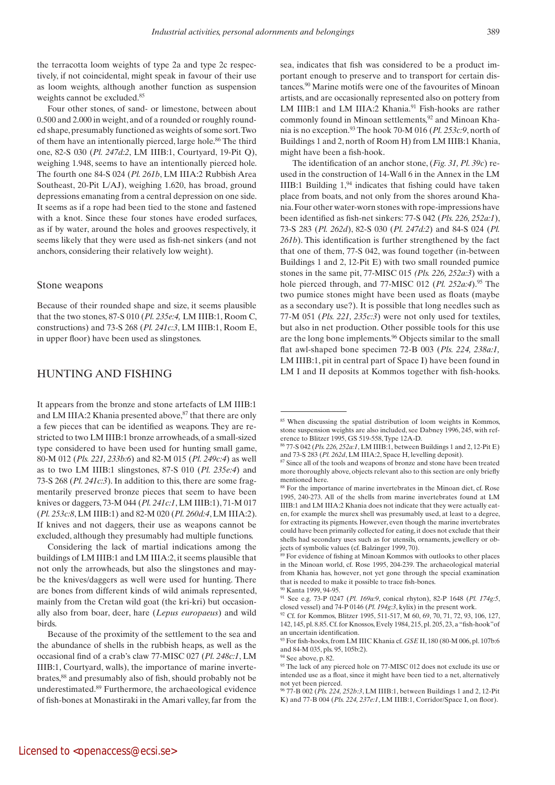the terracotta loom weights of type 2a and type 2c respectively, if not coincidental, might speak in favour of their use as loom weights, although another function as suspension weights cannot be excluded.<sup>85</sup>

Four other stones, of sand- or limestone, between about 0.500 and 2.000 in weight, and of a rounded or roughly rounded shape, presumably functioned as weights of some sort. Two of them have an intentionally pierced, large hole.<sup>86</sup> The third one, 82-S 030 (*Pl. 247d:2*, LM IIIB:1, Courtyard, 19-Pit Q), weighing 1.948, seems to have an intentionally pierced hole. The fourth one 84-S 024 (*Pl. 261b*, LM IIIA:2 Rubbish Area Southeast, 20-Pit L/AJ), weighing 1.620, has broad, ground depressions emanating from a central depression on one side. It seems as if a rope had been tied to the stone and fastened with a knot. Since these four stones have eroded surfaces, as if by water, around the holes and grooves respectively, it seems likely that they were used as fish-net sinkers (and not anchors, considering their relatively low weight).

#### Stone weapons

Because of their rounded shape and size, it seems plausible that the two stones, 87-S 010 (*Pl. 235e:4,* LM IIIB:1, Room C, constructions) and 73-S 268 (*Pl. 241c:3*, LM IIIB:1, Room E, in upper floor) have been used as slingstones.

### Hunting and fishing

It appears from the bronze and stone artefacts of LM IIIB:1 and LM IIIA:2 Khania presented above, <sup>87</sup> that there are only a few pieces that can be identified as weapons. They are restricted to two LM IIIB:1 bronze arrowheads, of a small-sized type considered to have been used for hunting small game, 80-M 012 (*Pls. 221, 233b:6*) and 82-M 015 (*Pl. 249c:4*) as well as to two LM IIIB:1 slingstones, 87-S 010 (*Pl. 235e:4*) and 73-S 268 (*Pl. 241c:3*). In addition to this, there are some fragmentarily preserved bronze pieces that seem to have been knives or daggers, 73-M 044 (*Pl. 241c:1*, LM IIIB:1), 71-M 017 (*Pl. 253c:8*, LM IIIB:1) and 82-M 020 (*Pl. 260d:4*, LM IIIA:2). If knives and not daggers, their use as weapons cannot be excluded, although they presumably had multiple functions.

Considering the lack of martial indications among the buildings of LM IIIB:1 and LM IIIA:2, it seems plausible that not only the arrowheads, but also the slingstones and maybe the knives/daggers as well were used for hunting. There are bones from different kinds of wild animals represented, mainly from the Cretan wild goat (the kri-kri) but occasionally also from boar, deer, hare (*Lepus europaeus*) and wild birds.

Because of the proximity of the settlement to the sea and the abundance of shells in the rubbish heaps, as well as the occasional find of a crab's claw 77-MISC 027 (*Pl. 248c:1*, LM IIIB:1, Courtyard, walls), the importance of marine invertebrates,<sup>88</sup> and presumably also of fish, should probably not be underestimated.89 Furthermore, the archaeological evidence of fish-bones at Monastiraki in the Amari valley, far from the sea, indicates that fish was considered to be a product important enough to preserve and to transport for certain distances.90 Marine motifs were one of the favourites of Minoan artists, and are occasionally represented also on pottery from LM IIIB:1 and LM IIIA:2 Khania.<sup>91</sup> Fish-hooks are rather commonly found in Minoan settlements,  $92$  and Minoan Khania is no exception.93 The hook 70-M 016 (*Pl. 253c:9*, north of Buildings 1 and 2, north of Room H) from LM IIIB:1 Khania, might have been a fish-hook.

 The identification of an anchor stone, (*Fig. 31, Pl. 39c*) reused in the construction of 14-Wall 6 in the Annex in the LM IIIB:1 Building  $1<sup>94</sup>$  indicates that fishing could have taken place from boats, and not only from the shores around Khania. Four other water-worn stones with rope-impressions have been identified as fish-net sinkers: 77-S 042 (*Pls. 226, 252a:1*), 73-S 283 (*Pl. 262d*), 82-S 030 (*Pl. 247d:2*) and 84-S 024 (*Pl. 261b*). This identification is further strengthened by the fact that one of them, 77-S 042, was found together (in-between Buildings 1 and 2, 12-Pit E) with two small rounded pumice stones in the same pit, 77-MISC 015 *(Pls. 226, 252a:3*) with a hole pierced through, and 77-MISC 012 (*Pl. 252a:4*).<sup>95</sup> The two pumice stones might have been used as floats (maybe as a secondary use?). It is possible that long needles such as 77-M 051 (*Pls. 221, 235c:3*) were not only used for textiles, but also in net production. Other possible tools for this use are the long bone implements.96 Objects similar to the small flat awl-shaped bone specimen 72-B 003 (*Pls. 224, 238a:1,* LM IIIB:1, pit in central part of Space I) have been found in LM I and II deposits at Kommos together with fish-hooks.

<sup>&</sup>lt;sup>85</sup> When discussing the spatial distribution of loom weights in Kommos, stone suspension weights are also included, see Dabney 1996, 245, with reference to Blitzer 1995, GS 519-558, Type 12A-D.

<sup>86 77-</sup>S 042 (*Pls. 226, 252a:1*, LM IIIB:1, between Buildings 1 and 2, 12-Pit E) and 73-S 283 (*Pl. 262d*, LM IIIA:2, Space H, levelling deposit). 87 Since all of the tools and weapons of bronze and stone have been treated

more thoroughly above, objects relevant also to this section are only briefly mentioned here.

<sup>88</sup> For the importance of marine invertebrates in the Minoan diet, cf. Rose 1995, 240-273. All of the shells from marine invertebrates found at LM IIIB:1 and LM IIIA:2 Khania does not indicate that they were actually eaten, for example the murex shell was presumably used, at least to a degree, for extracting its pigments. However, even though the marine invertebrates could have been primarily collected for eating, it does not exclude that their shells had secondary uses such as for utensils, ornaments, jewellery or objects of symbolic values (cf. Balzinger 1999, 70).

<sup>89</sup> For evidence of fishing at Minoan Kommos with outlooks to other places in the Minoan world, cf. Rose 1995, 204-239. The archaeological material from Khania has, however, not yet gone through the special examination that is needed to make it possible to trace fish-bones.

<sup>90</sup> Kanta 1999, 94-95.

<sup>91</sup> See e.g. 73-P 0247 (*Pl. 169a:9*, conical rhyton), 82-P 1648 (*Pl. 174g:5*, closed vessel) and 74-P 0146 (*Pl. 194g:3*, kylix) in the present work.

<sup>&</sup>lt;sup>92</sup> Cf. for Kommos, Blitzer 1995, 511-517, M 60, 69, 70, 71, 72, 93, 106, 127, 142, 145, pl. 8.85. Cf. for Knossos, Evely 1984, 215, pl. 205, 23, a "fish-hook"of an uncertain identification.

<sup>93</sup> For fish-hooks, from LM IIIC Khania cf. *GSE* II, 180 (80-M 006, pl. 107b:6 and 84-M 035, pls. 95, 105b:2).

<sup>94</sup> See above, p. 82.

<sup>&</sup>lt;sup>95</sup> The lack of any pierced hole on 77-MISC 012 does not exclude its use or intended use as a float, since it might have been tied to a net, alternatively not yet been pierced.

<sup>96 77-</sup>B 002 (*Pls. 224, 252b:3*, LM IIIB:1, between Buildings 1 and 2, 12-Pit K) and 77-B 004 (*Pls. 224, 237e:1*, LM IIIB:1, Corridor/Space I, on floor).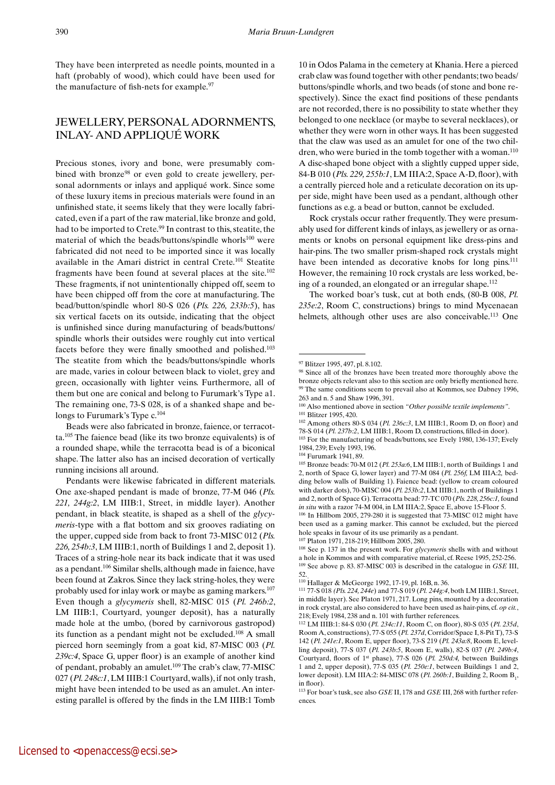They have been interpreted as needle points, mounted in a haft (probably of wood), which could have been used for the manufacture of fish-nets for example.<sup>97</sup>

# **JEWELLERY, PERSONAL ADORNMENTS, INLAY-AND APPLIOUÉ WORK**

Precious stones, ivory and bone, were presumably combined with bronze<sup>98</sup> or even gold to create jewellery, personal adornments or inlays and appliqué work. Since some of these luxury items in precious materials were found in an unfinished state, it seems likely that they were locally fabricated, even if a part of the raw material, like bronze and gold, had to be imported to Crete.<sup>99</sup> In contrast to this, steatite, the material of which the beads/buttons/spindle whorls<sup>100</sup> were fabricated did not need to be imported since it was locally available in the Amari district in central Crete.101 Steatite fragments have been found at several places at the site.102 These fragments, if not unintentionally chipped off, seem to have been chipped off from the core at manufacturing. The bead/button/spindle whorl 80-S 026 (*Pls. 226, 233b:5*), has six vertical facets on its outside, indicating that the object is unfinished since during manufacturing of beads/buttons/ spindle whorls their outsides were roughly cut into vertical facets before they were finally smoothed and polished.103 The steatite from which the beads/buttons/spindle whorls are made, varies in colour between black to violet, grey and green, occasionally with lighter veins. Furthermore, all of them but one are conical and belong to Furumark's Type a1. The remaining one, 73-S 028, is of a shanked shape and belongs to Furumark's Type c.104

Beads were also fabricated in bronze, faience, or terracotta.105 The faience bead (like its two bronze equivalents) is of a rounded shape, while the terracotta bead is of a biconical shape. The latter also has an incised decoration of vertically running incisions all around.

10 in Odos Palama in the cemetery at Khania. Here a pierced crab claw was found together with other pendants; two beads/ buttons/spindle whorls, and two beads (of stone and bone respectively). Since the exact find positions of these pendants are not recorded, there is no possibility to state whether they belonged to one necklace (or maybe to several necklaces), or whether they were worn in other ways. It has been suggested that the claw was used as an amulet for one of the two children, who were buried in the tomb together with a woman.<sup>110</sup> A disc-shaped bone object with a slightly cupped upper side, 84-B 010 (*Pls. 229, 255b:1*, LM IIIA:2, Space A-D, floor), with a centrally pierced hole and a reticulate decoration on its upper side, might have been used as a pendant, although other functions as e.g. a bead or button, cannot be excluded.

Rock crystals occur rather frequently. They were presumably used for different kinds of inlays, as jewellery or as ornaments or knobs on personal equipment like dress-pins and hair-pins. The two smaller prism-shaped rock crystals might have been intended as decorative knobs for long pins.<sup>111</sup> However, the remaining 10 rock crystals are less worked, being of a rounded, an elongated or an irregular shape.112

The worked boar's tusk, cut at both ends, (80-B 008, *Pl. 235e:2*, Room C, constructions) brings to mind Mycenaean helmets, although other uses are also conceivable.<sup>113</sup> One

106 In Hillbom 2005, 279-280 it is suggested that 73-MISC 012 might have been used as a gaming marker. This cannot be excluded, but the pierced hole speaks in favour of its use primarily as a pendant.

107 Platon 1971, 218-219; Hillbom 2005, 280.

108 See p. 137 in the present work. For *glycymeris* shells with and without a hole in Kommos and with comparative material, cf. Reese 1995, 252-256. 109 See above p. 83. 87-MISC 003 is described in the catalogue in *GSE* III, 52.

Pendants were likewise fabricated in different materials. One axe-shaped pendant is made of bronze, 77-M 046 (*Pls. 221, 244g:2*, LM IIIB:1, Street, in middle layer). Another pendant, in black steatite, is shaped as a shell of the *glycymeris*-type with a flat bottom and six grooves radiating on the upper, cupped side from back to front 73-MISC 012 (*Pls. 226, 254b:3*, LM IIIB:1, north of Buildings 1 and 2, deposit 1). Traces of a string-hole near its back indicate that it was used as a pendant.106 Similar shells, although made in faience, have been found at Zakros. Since they lack string-holes, they were probably used for inlay work or maybe as gaming markers.107 Even though a *glycymeris* shell, 82-MISC 015 (*Pl. 246b:2*, LM IIIB:1, Courtyard, younger deposit), has a naturally made hole at the umbo, (bored by carnivorous gastropod) its function as a pendant might not be excluded.<sup>108</sup> A small pierced horn seemingly from a goat kid, 87-MISC 003 (*Pl. 239c:4*, Space G, upper floor) is an example of another kind of pendant, probably an amulet.109 The crab's claw, 77-MISC 027 (*Pl. 248c:1*, LM IIIB:1 Courtyard, walls), if not only trash, might have been intended to be used as an amulet. An interesting parallel is offered by the finds in the LM IIIB:1 Tomb

<sup>97</sup> Blitzer 1995, 497, pl. 8.102.

<sup>&</sup>lt;sup>98</sup> Since all of the bronzes have been treated more thoroughly above the bronze objects relevant also to this section are only briefly mentioned here. <sup>99</sup> The same conditions seem to prevail also at Kommos, see Dabney 1996, 263 and n. 5 and Shaw 1996, 391.

<sup>100</sup> Also mentioned above in section *"Other possible textile implements"*. 101 Blitzer 1995, 420.

<sup>102</sup> Among others 80-S 034 (*Pl. 236c:3*, LM IIIB:1, Room D, on floor) and 78-S 014 (*Pl. 237b:2*, LM IIIB:1, Room D, constructions, filled-in door). 103 For the manufacturing of beads/buttons, see Evely 1980, 136-137; Evely

<sup>1984, 239;</sup> Evely 1993, 196.

<sup>104</sup> Furumark 1941, 89. 105 Bronze beads: 70-M 012 (*Pl. 253a:6*, LM IIIB:1, north of Buildings 1 and 2, north of Space G, lower layer) and 77-M 084 (*Pl. 256f,* LM IIIA:2*,* bedding below walls of Building 1). Faience bead: (yellow to cream coloured with darker dots), 70-MISC 004 (*Pl. 253b:2*, LM IIIB:1, north of Buildings 1 and 2, north of Space G). Terracotta bead: 77-TC 070 (*Pls. 228, 256c:1,* found *in situ* with a razor 74-M 004, in LM IIIA:2, Space E, above 15-Floor 5.

<sup>110</sup> Hallager & McGeorge 1992, 17-19, pl. 16B, n. 36.

<sup>111 77-</sup>S 018 *(Pls. 224, 244e*) and 77-S 019 (*Pl. 244g:4*, both LM IIIB:1, Street, in middle layer). See Platon 1971, 217. Long pins, mounted by a decoration in rock crystal, are also considered to have been used as hair-pins, cf. *op cit.*, 218; Evely 1984, 238 and n. 101 with further references.

<sup>112</sup> LM IIIB:1: 84-S 030 (*Pl. 234c:11*, Room C, on floor), 80-S 035 (*Pl. 235d*, Room A, constructions), 77-S 055 (*Pl. 237d*, Corridor/Space I, 8-Pit T), 73-S 142 (*Pl. 241e:1*, Room E, upper floor), 73-S 219 (*Pl. 243a:8*, Room E, levelling deposit), 77-S 037 (*Pl. 243b:5*, Room E, walls), 82-S 037 (*Pl. 249b:4*, Courtyard, floors of 1st phase), 77-S 026 (*Pl. 250d:4,* between Buildings 1 and 2, upper deposit), 77-S 035 (*Pl. 250e:1*, between Buildings 1 and 2, lower deposit). LM IIIA:2: 84-MISC 078 (Pl. 260b:1, Building 2, Room B<sub>1</sub>, in floor).

<sup>113</sup> For boar's tusk, see also *GSE* II, 178 and *GSE* III, 268 with further references.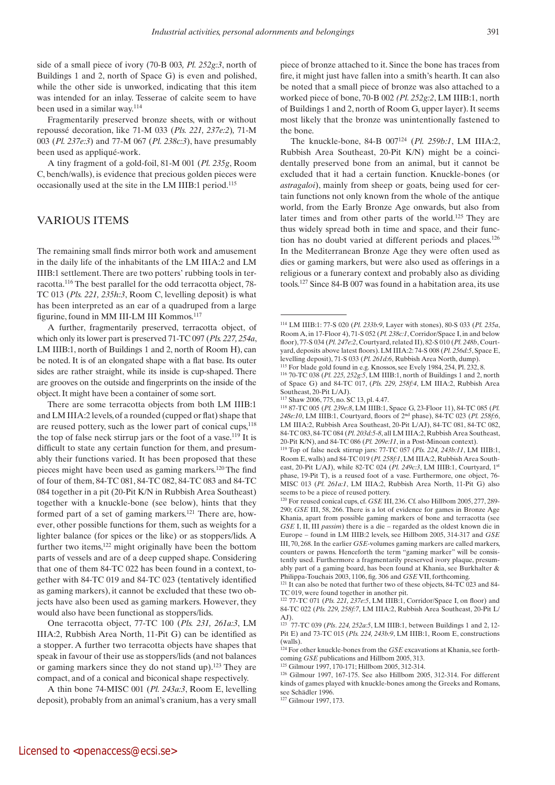side of a small piece of ivory (70-B 003*, Pl. 252g:3*, north of Buildings 1 and 2, north of Space G) is even and polished, while the other side is unworked, indicating that this item was intended for an inlay. Tesserae of calcite seem to have been used in a similar way.114

Fragmentarily preserved bronze sheets, with or without repoussé decoration, like 71-M 033 (*Pls. 221, 237e:2*)*,* 71-M 003 (*Pl. 237e:3*) and 77-M 067 (*Pl. 238c:3*), have presumably been used as appliqué-work.

A tiny fragment of a gold-foil, 81-M 001 (*Pl. 235g*, Room C, bench/walls), is evidence that precious golden pieces were occasionally used at the site in the LM IIIB:1 period.115

# Various items

The remaining small finds mirror both work and amusement in the daily life of the inhabitants of the LM IIIA:2 and LM IIIB:1 settlement. There are two potters' rubbing tools in terracotta.116 The best parallel for the odd terracotta object, 78- TC 013 (*Pls. 221, 235h:3*, Room C, levelling deposit) is what has been interpreted as an ear of a quadruped from a large figurine, found in MM III-LM III Kommos.117

A further, fragmentarily preserved, terracotta object, of which only its lower part is preserved 71-TC 097 (*Pls. 227, 254a*, LM IIIB:1, north of Buildings 1 and 2, north of Room H), can be noted. It is of an elongated shape with a flat base. Its outer sides are rather straight, while its inside is cup-shaped. There are grooves on the outside and fingerprints on the inside of the object. It might have been a container of some sort.

There are some terracotta objects from both LM IIIB:1 and LM IIIA:2 levels, of a rounded (cupped or flat) shape that are reused pottery, such as the lower part of conical cups, $118$ the top of false neck stirrup jars or the foot of a vase.<sup>119</sup> It is difficult to state any certain function for them, and presumably their functions varied. It has been proposed that these pieces might have been used as gaming markers.120 The find of four of them, 84-TC 081, 84-TC 082, 84-TC 083 and 84-TC 084 together in a pit (20-Pit K/N in Rubbish Area Southeast) together with a knuckle-bone (see below), hints that they formed part of a set of gaming markers.<sup>121</sup> There are, however, other possible functions for them, such as weights for a lighter balance (for spices or the like) or as stoppers/lids. A further two items,<sup>122</sup> might originally have been the bottom parts of vessels and are of a deep cupped shape. Considering that one of them 84-TC 022 has been found in a context, together with 84-TC 019 and 84-TC 023 (tentatively identified as gaming markers), it cannot be excluded that these two objects have also been used as gaming markers. However, they would also have been functional as stoppers/lids.

One terracotta object, 77-TC 100 (*Pls. 231, 261a:3*, LM IIIA:2, Rubbish Area North, 11-Pit G) can be identified as a stopper. A further two terracotta objects have shapes that speak in favour of their use as stoppers/lids (and not balances or gaming markers since they do not stand up).123 They are compact, and of a conical and biconical shape respectively.

A thin bone 74-MISC 001 (*Pl. 243a:3*, Room E, levelling deposit)*,* probably from an animal's cranium, has a very small piece of bronze attached to it. Since the bone has traces from fire, it might just have fallen into a smith's hearth. It can also be noted that a small piece of bronze was also attached to a worked piece of bone, 70-B 002 *(Pl. 252g:2*, LM IIIB:1, north of Buildings 1 and 2, north of Room G, upper layer). It seems most likely that the bronze was unintentionally fastened to the bone.

The knuckle-bone, 84-B 007124 (*Pl. 259b:1*, LM IIIA:2, Rubbish Area Southeast, 20-Pit K/N) might be a coincidentally preserved bone from an animal, but it cannot be excluded that it had a certain function. Knuckle-bones (or *astragaloi*), mainly from sheep or goats, being used for certain functions not only known from the whole of the antique world, from the Early Bronze Age onwards, but also from later times and from other parts of the world.125 They are thus widely spread both in time and space, and their function has no doubt varied at different periods and places.<sup>126</sup> In the Mediterranean Bronze Age they were often used as dies or gaming markers, but were also used as offerings in a religious or a funerary context and probably also as dividing tools.127 Since 84-B 007 was found in a habitation area, its use

Philippa-Touchais 2003, 1106, fig. 306 and *GSE* VII, forthcoming. 121 It can also be noted that further two of these objects, 84-TC 023 and 84- TC 019, were found together in another pit.

122 77-TC 071 (*Pls. 221, 237e:5*, LM IIIB:1, Corridor/Space I, on floor) and 84-TC 022 (*Pls. 229, 258f:7*, LM IIIA:2, Rubbish Area Southeast, 20-Pit L/ AJ).

123 77-TC 039 (*Pls*. *224, 252a:5*, LM IIIB:1, between Buildings 1 and 2, 12- Pit E) and 73-TC 015 (*Pls. 224, 243b:9*, LM IIIB:1, Room E, constructions (walls).

<sup>124</sup> For other knuckle-bones from the *GSE* excavations at Khania, see forthcoming *GSE* publications and Hillbom 2005, 313. 125 Gilmour 1997, 170-171; Hillbom 2005, 312-314.

126 Gilmour 1997, 167-175. See also Hillbom 2005, 312-314. For different kinds of games played with knuckle-bones among the Greeks and Romans, see Schädler 1996.

127 Gilmour 1997, 173.

<sup>114</sup> LM IIIB:1: 77-S 020 (*Pl. 233b:9*, Layer with stones), 80-S 033 (*Pl. 235a*, Room A, in 17-Floor 4), 71-S 052 (*Pl. 238c:1*, Corridor/Space I, in and below floor), 77-S 034 (*Pl. 247e:2*, Courtyard, related II), 82-S 010 (*Pl. 248b*, Courtyard, deposits above latest floors). LM IIIA:2: 74-S 008 (*Pl. 256d:5*, Space E, levelling deposit), 71-S 033 (*Pl. 261d:6*, Rubbish Area North, dump).

<sup>115</sup> For blade gold found in e.g. Knossos, see Evely 1984, 254, Pl. 232, 8. 116 70-TC 038 (*Pl. 225, 252g:5*, LM IIIB:1, north of Buildings 1 and 2, north

of Space G) and 84-TC 017, (*Pls. 229, 258f:4*, LM IIIA:2, Rubbish Area Southeast, 20-Pit L/AJ).

<sup>117</sup> Shaw 2006, 775, no. SC 13, pl. 4.47. 118 87-TC 005 (*Pl. 239e:8*, LM IIIB:1, Space G, 23-Floor 11), 84-TC 085 (*Pl. 248e:10*, LM IIIB:1, Courtyard, floors of 2nd phase), 84-TC 023 (*Pl. 258f:6*, LM IIIA:2, Rubbish Area Southeast, 20-Pit L/AJ), 84-TC 081, 84-TC 082, 84-TC 083, 84-TC 084 (*Pl. 203d:5-8*, all LM IIIA:2, Rubbish Area Southeast, 20-Pit K/N), and 84-TC 086 (*Pl. 209e:11*, in a Post-Minoan context).

<sup>119</sup> Top of false neck stirrup jars: 77-TC 057 (*Pls. 224, 243b:11*, LM IIIB:1, Room E, walls) and 84-TC 019 (*Pl. 258f:1*, LM IIIA:2, Rubbish Area Southeast, 20-Pit L/AJ), while 82-TC 024 (*Pl. 249c:3*, LM IIIB:1, Courtyard, 1st phase, 19-Pit T), is a reused foot of a vase. Furthermore, one object, 76- MISC 013 (*Pl. 261a:1*, LM IIIA:2, Rubbish Area North, 11-Pit G) also seems to be a piece of reused pottery.

<sup>120</sup> For reused conical cups, cf. *GSE* III, 236. Cf. also Hillbom 2005, 277, 289- 290; *GSE* III, 58, 266. There is a lot of evidence for games in Bronze Age Khania, apart from possible gaming markers of bone and terracotta (see *GSE* I, II, III *passim*) there is a die – regarded as the oldest known die in Europe – found in LM IIIB:2 levels, see Hillbom 2005, 314-317 and *GSE* III, 70, 268. In the earlier *GSE*-volumes gaming markers are called markers, counters or pawns. Henceforth the term "gaming marker" will be consistently used. Furthermore a fragmentarily preserved ivory plaque, presumably part of a gaming board, has been found at Khania, see Burkhalter  $\&$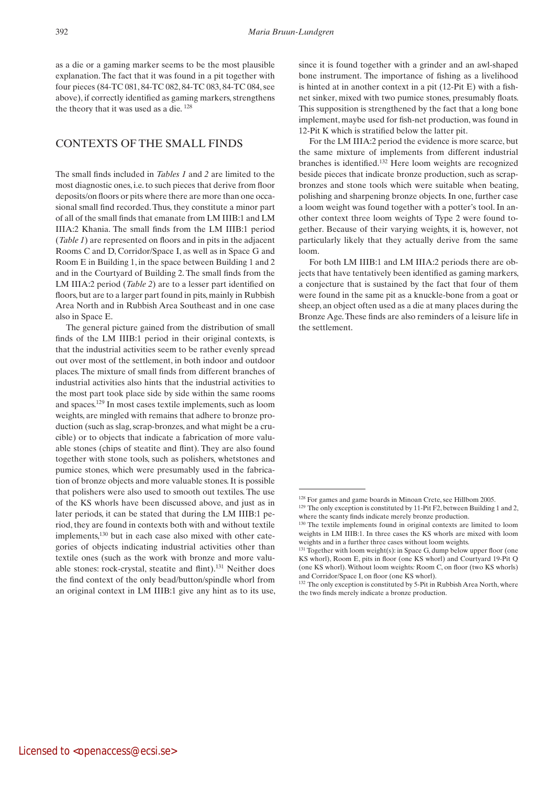as a die or a gaming marker seems to be the most plausible explanation. The fact that it was found in a pit together with four pieces (84-TC 081, 84-TC 082, 84-TC 083, 84-TC 084, see above), if correctly identified as gaming markers, strengthens the theory that it was used as a die. 128

## Contexts of the small finds

The small finds included in *Tables 1* and *2* are limited to the most diagnostic ones, i.e. to such pieces that derive from floor deposits/on floors or pits where there are more than one occasional small find recorded. Thus, they constitute a minor part of all of the small finds that emanate from LM IIIB:1 and LM IIIA:2 Khania. The small finds from the LM IIIB:1 period (*Table 1*) are represented on floors and in pits in the adjacent Rooms C and D, Corridor/Space I, as well as in Space G and Room E in Building 1, in the space between Building 1 and 2 and in the Courtyard of Building 2. The small finds from the LM IIIA:2 period (*Table 2*) are to a lesser part identified on floors, but are to a larger part found in pits, mainly in Rubbish Area North and in Rubbish Area Southeast and in one case also in Space E.

The general picture gained from the distribution of small finds of the LM IIIB:1 period in their original contexts, is that the industrial activities seem to be rather evenly spread out over most of the settlement, in both indoor and outdoor places. The mixture of small finds from different branches of industrial activities also hints that the industrial activities to the most part took place side by side within the same rooms and spaces.129 In most cases textile implements, such as loom weights, are mingled with remains that adhere to bronze production (such as slag, scrap-bronzes, and what might be a crucible) or to objects that indicate a fabrication of more valuable stones (chips of steatite and flint). They are also found together with stone tools, such as polishers, whetstones and pumice stones, which were presumably used in the fabrication of bronze objects and more valuable stones. It is possible that polishers were also used to smooth out textiles. The use of the KS whorls have been discussed above, and just as in later periods, it can be stated that during the LM IIIB:1 period, they are found in contexts both with and without textile implements,130 but in each case also mixed with other categories of objects indicating industrial activities other than textile ones (such as the work with bronze and more valuable stones: rock-crystal, steatite and flint).131 Neither does the find context of the only bead/button/spindle whorl from an original context in LM IIIB:1 give any hint as to its use,

since it is found together with a grinder and an awl-shaped bone instrument. The importance of fishing as a livelihood is hinted at in another context in a pit (12-Pit E) with a fishnet sinker, mixed with two pumice stones, presumably floats. This supposition is strengthened by the fact that a long bone implement, maybe used for fish-net production, was found in 12-Pit K which is stratified below the latter pit.

For the LM IIIA:2 period the evidence is more scarce, but the same mixture of implements from different industrial branches is identified.132 Here loom weights are recognized beside pieces that indicate bronze production, such as scrapbronzes and stone tools which were suitable when beating, polishing and sharpening bronze objects. In one, further case a loom weight was found together with a potter's tool. In another context three loom weights of Type 2 were found together. Because of their varying weights, it is, however, not particularly likely that they actually derive from the same loom.

For both LM IIIB:1 and LM IIIA:2 periods there are objects that have tentatively been identified as gaming markers, a conjecture that is sustained by the fact that four of them were found in the same pit as a knuckle-bone from a goat or sheep, an object often used as a die at many places during the Bronze Age. These finds are also reminders of a leisure life in the settlement.

<sup>128</sup> For games and game boards in Minoan Crete, see Hillbom 2005.

 $129$  The only exception is constituted by 11-Pit F2, between Building 1 and 2, where the scanty finds indicate merely bronze production.

<sup>130</sup> The textile implements found in original contexts are limited to loom weights in LM IIIB:1. In three cases the KS whorls are mixed with loom weights and in a further three cases without loom weights.

<sup>&</sup>lt;sup>131</sup> Together with loom weight(s): in Space G, dump below upper floor (one KS whorl), Room E, pits in floor (one KS whorl) and Courtyard 19-Pit Q (one KS whorl). Without loom weights*:* Room C, on floor (two KS whorls) and Corridor/Space I, on floor (one KS whorl).

 $132$  The only exception is constituted by 5-Pit in Rubbish Area North, where the two finds merely indicate a bronze production.